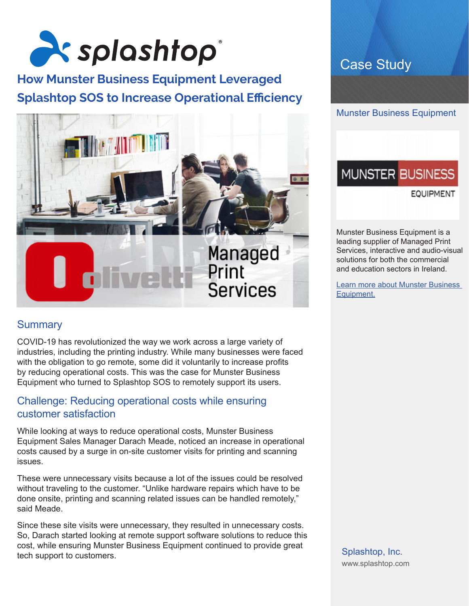

## **How Munster Business Equipment Leveraged Splashtop SOS to Increase Operational Efficiency**



### **Summary**

COVID-19 has revolutionized the way we work across a large variety of industries, including the printing industry. While many businesses were faced with the obligation to go remote, some did it voluntarily to increase profits by reducing operational costs. This was the case for Munster Business Equipment who turned to Splashtop SOS to remotely support its users.

### Challenge: Reducing operational costs while ensuring customer satisfaction

While looking at ways to reduce operational costs, Munster Business Equipment Sales Manager Darach Meade, noticed an increase in operational costs caused by a surge in on-site customer visits for printing and scanning issues.

These were unnecessary visits because a lot of the issues could be resolved without traveling to the customer. "Unlike hardware repairs which have to be done onsite, printing and scanning related issues can be handled remotely," said Meade.

Since these site visits were unnecessary, they resulted in unnecessary costs. So, Darach started looking at remote support software solutions to reduce this cost, while ensuring Munster Business Equipment continued to provide great tech support to customers.

## Case Study



# **MUNSTER BUSINESS**

**EQUIPMENT** 

Munster Business Equipment is a leading supplier of Managed Print Services, interactive and audio-visual solutions for both the commercial and education sectors in Ireland.

Learn more about Munster Business Equipment.